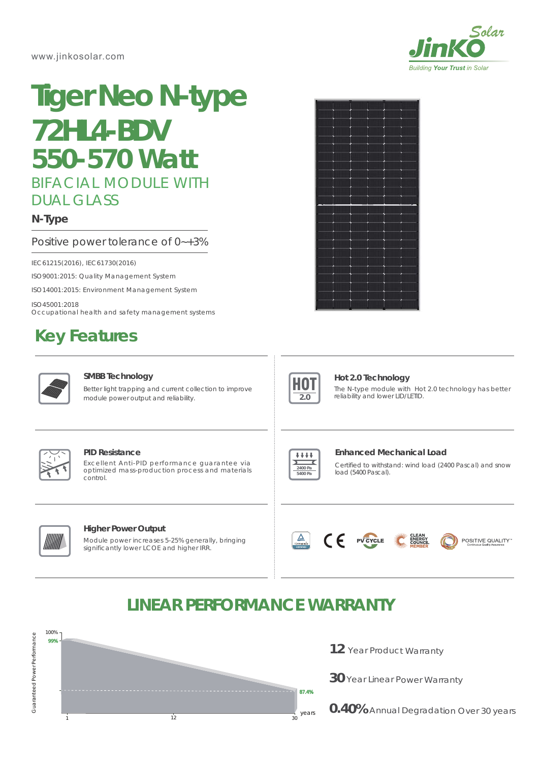#### www.jinkosolar.com



# BIFACIAL MODULE WITH DUAL GLASS **Tiger Neo N-type 72HL4-BDV** *550-570 Watt*

**N-Type**

### Positive power tolerance of 0~+3%

IEC61215(2016), IEC61730(2016)

ISO9001:2015: Quality Management System

ISO14001:2015: Environment Management System

ISO45001:2018

Occupational health and safety management systems Made in China/ U.S/Malaysia/Vietnam

## **Key Features**



#### **SMBB Technology**

Better light trapping and current collection to improve module power output and reliability.





#### **Hot 2.0 Technology**

The N-type module with Hot 2.0 technology has better reliability and lower LID/LETID.



#### **Higher Power Output**

Module power increases 5-25% generally, bringing significantly lower LCOE and higher IRR.



#### **Enhanced Mechanical Load**

Certified to withstand: wind load (2400 Pascal) and snow load (5400 Pascal).



### **LINEAR PERFORMANCE WARRANTY**



- **12** Year Product Warranty
- **30** Year Linear Power Warranty
- **0.40%** Annual Degradation Over 30 years